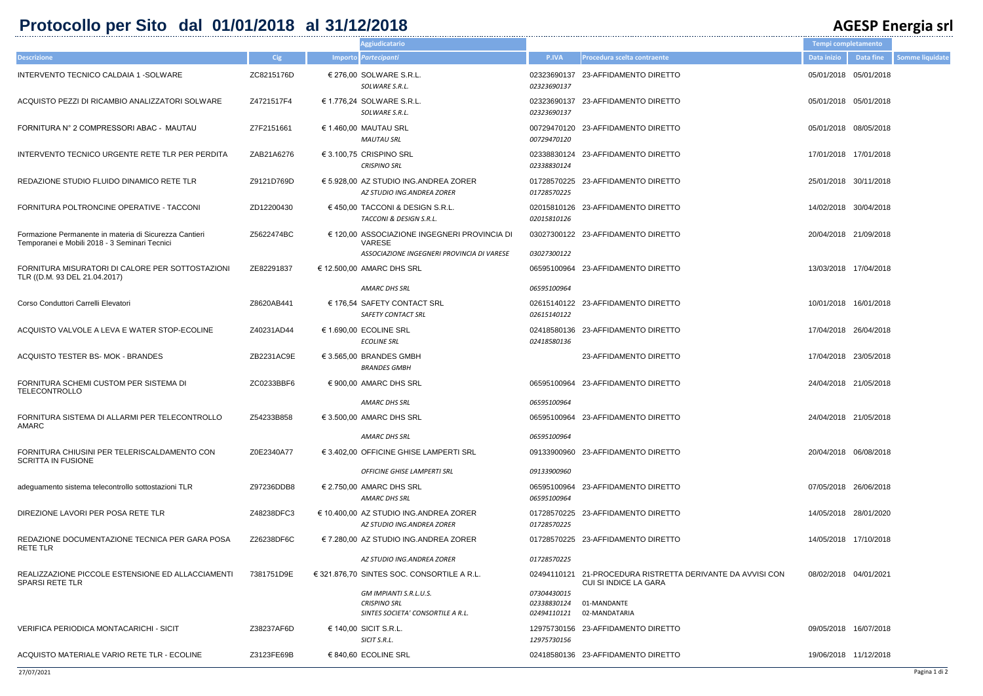## **Protocollo per Sito dal 01/01/2018 al 31/12/2018 AGESP Energia srl**

|                               |                                                                                 | Tempi completamento   |                       |                        |
|-------------------------------|---------------------------------------------------------------------------------|-----------------------|-----------------------|------------------------|
| P.IVA                         | Procedura scelta contraente                                                     | Data inizio           | Data fine             | <b>Somme liquidate</b> |
| 3690137                       | 3690137 23-AFFIDAMENTO DIRETTO                                                  | 05/01/2018 05/01/2018 |                       |                        |
| 3690137                       | 3690137 23-AFFIDAMENTO DIRETTO                                                  | 05/01/2018 05/01/2018 |                       |                        |
| 9470120                       | 9470120 23-AFFIDAMENTO DIRETTO                                                  | 05/01/2018 08/05/2018 |                       |                        |
| 8830124                       | 8830124 23-AFFIDAMENTO DIRETTO                                                  | 17/01/2018 17/01/2018 |                       |                        |
| 8570225                       | 8570225 23-AFFIDAMENTO DIRETTO                                                  | 25/01/2018 30/11/2018 |                       |                        |
| 5810126                       | 5810126 23-AFFIDAMENTO DIRETTO                                                  | 14/02/2018 30/04/2018 |                       |                        |
|                               | 7300122 23-AFFIDAMENTO DIRETTO                                                  | 20/04/2018 21/09/2018 |                       |                        |
| 7300122                       | 5100964 23-AFFIDAMENTO DIRETTO                                                  | 13/03/2018 17/04/2018 |                       |                        |
| 5100964                       |                                                                                 |                       |                       |                        |
| 5140122                       | 5140122 23-AFFIDAMENTO DIRETTO                                                  | 10/01/2018 16/01/2018 |                       |                        |
| 8580136                       | 8580136 23-AFFIDAMENTO DIRETTO                                                  | 17/04/2018 26/04/2018 |                       |                        |
|                               | 23-AFFIDAMENTO DIRETTO                                                          | 17/04/2018 23/05/2018 |                       |                        |
|                               | 5100964 23-AFFIDAMENTO DIRETTO                                                  | 24/04/2018 21/05/2018 |                       |                        |
| 5100964                       |                                                                                 | 24/04/2018 21/05/2018 |                       |                        |
| 5100964                       | 5100964 23-AFFIDAMENTO DIRETTO                                                  |                       |                       |                        |
|                               | 3900960 23-AFFIDAMENTO DIRETTO                                                  | 20/04/2018 06/08/2018 |                       |                        |
| 3900960                       |                                                                                 |                       |                       |                        |
| 5100964                       | 5100964 23-AFFIDAMENTO DIRETTO                                                  | 07/05/2018 26/06/2018 |                       |                        |
| 8570225                       | 8570225 23-AFFIDAMENTO DIRETTO                                                  |                       | 14/05/2018 28/01/2020 |                        |
| 8570225                       | 8570225 23-AFFIDAMENTO DIRETTO                                                  |                       | 14/05/2018 17/10/2018 |                        |
|                               | 4110121 21-PROCEDURA RISTRETTA DERIVANTE DA AVVISI CON<br>CUI SI INDICE LA GARA | 08/02/2018 04/01/2021 |                       |                        |
| 4430015<br>8830124<br>4110121 | 01-MANDANTE<br>02-MANDATARIA                                                    |                       |                       |                        |
| 5730156                       | 5730156 23-AFFIDAMENTO DIRETTO                                                  | 09/05/2018 16/07/2018 |                       |                        |
|                               | 8580136 23-AFFIDAMENTO DIRETTO                                                  | 19/06/2018 11/12/2018 |                       |                        |

|                                                                                                         |            | Aggiudicatario                                                                     |                                           |                                                                                     | Tempi completamento   |           |
|---------------------------------------------------------------------------------------------------------|------------|------------------------------------------------------------------------------------|-------------------------------------------|-------------------------------------------------------------------------------------|-----------------------|-----------|
| <b>Descrizione</b>                                                                                      | <b>Cig</b> | Importo Partecipanti                                                               | P.IVA                                     | Procedura scelta contraente                                                         | Data inizio           | Data fine |
| INTERVENTO TECNICO CALDAIA 1 - SOLWARE                                                                  | ZC8215176D | € 276,00 SOLWARE S.R.L.<br>SOLWARE S.R.L.                                          | 02323690137<br>02323690137                | 23-AFFIDAMENTO DIRETTO                                                              | 05/01/2018 05/01/2018 |           |
| ACQUISTO PEZZI DI RICAMBIO ANALIZZATORI SOLWARE                                                         | Z4721517F4 | € 1.776,24 SOLWARE S.R.L.<br>SOLWARE S.R.L.                                        | 02323690137<br>02323690137                | 23-AFFIDAMENTO DIRETTO                                                              | 05/01/2018 05/01/2018 |           |
| FORNITURA N° 2 COMPRESSORI ABAC - MAUTAU                                                                | Z7F2151661 | € 1.460,00 MAUTAU SRL<br><b>MAUTAU SRL</b>                                         | 00729470120<br>00729470120                | 23-AFFIDAMENTO DIRETTO                                                              | 05/01/2018 08/05/2018 |           |
| INTERVENTO TECNICO URGENTE RETE TLR PER PERDITA                                                         | ZAB21A6276 | € 3.100,75 CRISPINO SRL<br><b>CRISPINO SRL</b>                                     | 02338830124                               | 02338830124 23-AFFIDAMENTO DIRETTO                                                  | 17/01/2018 17/01/2018 |           |
| REDAZIONE STUDIO FLUIDO DINAMICO RETE TLR                                                               | Z9121D769D | $\epsilon$ 5.928,00 AZ STUDIO ING.ANDREA ZORER<br>AZ STUDIO ING.ANDREA ZORER       | 01728570225<br>01728570225                | 23-AFFIDAMENTO DIRETTO                                                              | 25/01/2018 30/11/2018 |           |
| FORNITURA POLTRONCINE OPERATIVE - TACCONI                                                               | ZD12200430 | € 450,00 TACCONI & DESIGN S.R.L.<br><b>TACCONI &amp; DESIGN S.R.L.</b>             | 02015810126<br>02015810126                | 23-AFFIDAMENTO DIRETTO                                                              | 14/02/2018 30/04/2018 |           |
| Formazione Permanente in materia di Sicurezza Cantieri<br>Temporanei e Mobili 2018 - 3 Seminari Tecnici | Z5622474BC | € 120,00 ASSOCIAZIONE INGEGNERI PROVINCIA DI<br><b>VARESE</b>                      |                                           | 03027300122 23-AFFIDAMENTO DIRETTO                                                  | 20/04/2018 21/09/2018 |           |
|                                                                                                         |            | ASSOCIAZIONE INGEGNERI PROVINCIA DI VARESE                                         | 03027300122                               |                                                                                     |                       |           |
| FORNITURA MISURATORI DI CALORE PER SOTTOSTAZIONI<br>TLR ((D.M. 93 DEL 21.04.2017)                       | ZE82291837 | $\in$ 12.500,00 AMARC DHS SRL                                                      |                                           | 06595100964 23-AFFIDAMENTO DIRETTO                                                  | 13/03/2018 17/04/2018 |           |
|                                                                                                         |            | AMARC DHS SRL                                                                      | 06595100964                               |                                                                                     |                       |           |
| Corso Conduttori Carrelli Elevatori                                                                     | Z8620AB441 | € 176,54 SAFETY CONTACT SRL<br><b>SAFETY CONTACT SRL</b>                           | 02615140122                               | 02615140122 23-AFFIDAMENTO DIRETTO                                                  | 10/01/2018 16/01/2018 |           |
| ACQUISTO VALVOLE A LEVA E WATER STOP-ECOLINE                                                            | Z40231AD44 | € 1.690,00 ECOLINE SRL<br><b>ECOLINE SRL</b>                                       | 02418580136<br>02418580136                | 23-AFFIDAMENTO DIRETTO                                                              | 17/04/2018 26/04/2018 |           |
| ACQUISTO TESTER BS- MOK - BRANDES                                                                       | ZB2231AC9E | € 3.565,00 BRANDES GMBH<br><b>BRANDES GMBH</b>                                     |                                           | 23-AFFIDAMENTO DIRETTO                                                              | 17/04/2018 23/05/2018 |           |
| FORNITURA SCHEMI CUSTOM PER SISTEMA DI<br><b>TELECONTROLLO</b>                                          | ZC0233BBF6 | € 900,00 AMARC DHS SRL                                                             |                                           | 06595100964 23-AFFIDAMENTO DIRETTO                                                  | 24/04/2018 21/05/2018 |           |
|                                                                                                         |            | <b>AMARC DHS SRL</b>                                                               | 06595100964                               |                                                                                     |                       |           |
| FORNITURA SISTEMA DI ALLARMI PER TELECONTROLLO<br>AMARC                                                 | Z54233B858 | € 3.500,00 AMARC DHS SRL                                                           |                                           | 06595100964 23-AFFIDAMENTO DIRETTO                                                  | 24/04/2018 21/05/2018 |           |
|                                                                                                         |            | AMARC DHS SRL                                                                      | 06595100964                               |                                                                                     |                       |           |
| FORNITURA CHIUSINI PER TELERISCALDAMENTO CON<br><b>SCRITTA IN FUSIONE</b>                               | Z0E2340A77 | € 3.402,00 OFFICINE GHISE LAMPERTI SRL                                             |                                           | 09133900960 23-AFFIDAMENTO DIRETTO                                                  | 20/04/2018 06/08/2018 |           |
|                                                                                                         |            | <b>OFFICINE GHISE LAMPERTI SRL</b>                                                 | 09133900960                               |                                                                                     |                       |           |
| adeguamento sistema telecontrollo sottostazioni TLR                                                     | Z97236DDB8 | $\in$ 2.750,00 AMARC DHS SRL<br><b>AMARC DHS SRL</b>                               | 06595100964                               | 06595100964 23-AFFIDAMENTO DIRETTO                                                  | 07/05/2018 26/06/2018 |           |
| DIREZIONE LAVORI PER POSA RETE TLR                                                                      | Z48238DFC3 | € 10.400.00 AZ STUDIO ING.ANDREA ZORER<br>AZ STUDIO ING.ANDREA ZORER               | 01728570225<br>01728570225                | 23-AFFIDAMENTO DIRETTO                                                              | 14/05/2018 28/01/2020 |           |
| REDAZIONE DOCUMENTAZIONE TECNICA PER GARA POSA<br><b>RETE TLR</b>                                       | Z26238DF6C | € 7.280,00 AZ STUDIO ING.ANDREA ZORER                                              |                                           | 01728570225 23-AFFIDAMENTO DIRETTO                                                  | 14/05/2018 17/10/2018 |           |
|                                                                                                         |            | AZ STUDIO ING.ANDREA ZORER                                                         | 01728570225                               |                                                                                     |                       |           |
| REALIZZAZIONE PICCOLE ESTENSIONE ED ALLACCIAMENTI<br><b>SPARSI RETE TLR</b>                             | 7381751D9E | $\epsilon$ 321.876,70 SINTES SOC. CONSORTILE A R.L.                                |                                           | 02494110121 21-PROCEDURA RISTRETTA DERIVANTE DA AVVISI CON<br>CUI SI INDICE LA GARA | 08/02/2018 04/01/2021 |           |
|                                                                                                         |            | GM IMPIANTI S.R.L.U.S.<br><b>CRISPINO SRL</b><br>SINTES SOCIETA' CONSORTILE A R.L. | 07304430015<br>02338830124<br>02494110121 | 01-MANDANTE<br>02-MANDATARIA                                                        |                       |           |
| VERIFICA PERIODICA MONTACARICHI - SICIT                                                                 | Z38237AF6D | € 140,00 SICIT S.R.L.<br>SICIT S.R.L.                                              | 12975730156                               | 12975730156 23-AFFIDAMENTO DIRETTO                                                  | 09/05/2018 16/07/2018 |           |
| ACQUISTO MATERIALE VARIO RETE TLR - ECOLINE                                                             | Z3123FE69B | € 840,60 ECOLINE SRL                                                               |                                           | 02418580136 23-AFFIDAMENTO DIRETTO                                                  | 19/06/2018 11/12/2018 |           |